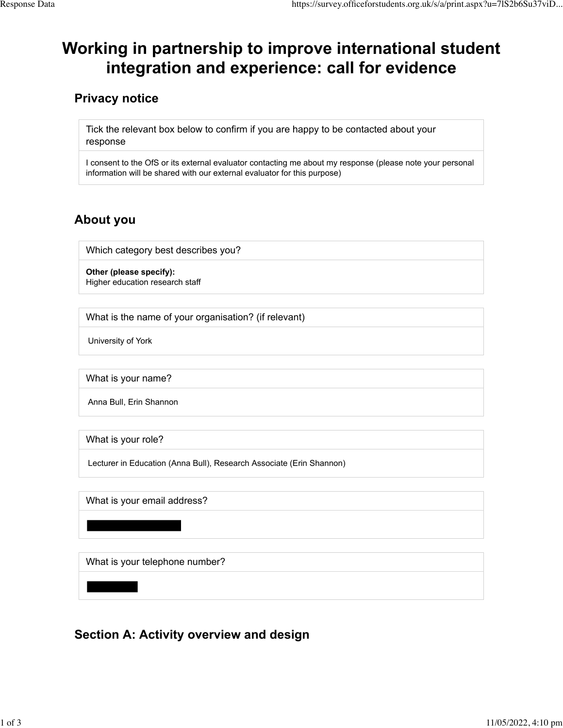# **Working in partnership to improve international student integration and experience: call for evidence**

## **Privacy notice**

Tick the relevant box below to confirm if you are happy to be contacted about your response

I consent to the OfS or its external evaluator contacting me about my response (please note your personal information will be shared with our external evaluator for this purpose)

## **About you**

Which category best describes you?

**Other (please specify):** Higher education research staff

What is the name of your organisation? (if relevant)

University of York

What is your name?

Anna Bull, Erin Shannon

What is your role?

Lecturer in Education (Anna Bull), Research Associate (Erin Shannon)

What is your email address?

What is your telephone number?

## **Section A: Activity overview and design**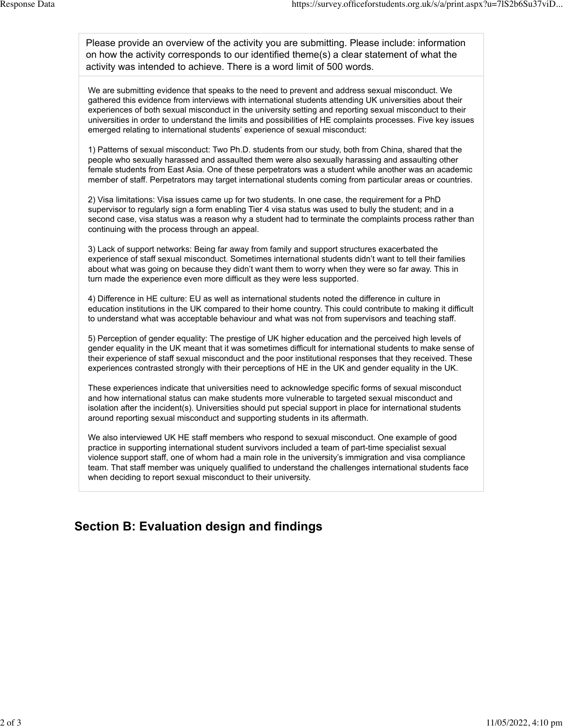Please provide an overview of the activity you are submitting. Please include: information on how the activity corresponds to our identified theme(s) a clear statement of what the activity was intended to achieve. There is a word limit of 500 words.

We are submitting evidence that speaks to the need to prevent and address sexual misconduct. We gathered this evidence from interviews with international students attending UK universities about their experiences of both sexual misconduct in the university setting and reporting sexual misconduct to their universities in order to understand the limits and possibilities of HE complaints processes. Five key issues emerged relating to international students' experience of sexual misconduct:

1) Patterns of sexual misconduct: Two Ph.D. students from our study, both from China, shared that the people who sexually harassed and assaulted them were also sexually harassing and assaulting other female students from East Asia. One of these perpetrators was a student while another was an academic member of staff. Perpetrators may target international students coming from particular areas or countries.

2) Visa limitations: Visa issues came up for two students. In one case, the requirement for a PhD supervisor to regularly sign a form enabling Tier 4 visa status was used to bully the student; and in a second case, visa status was a reason why a student had to terminate the complaints process rather than continuing with the process through an appeal.

3) Lack of support networks: Being far away from family and support structures exacerbated the experience of staff sexual misconduct. Sometimes international students didn't want to tell their families about what was going on because they didn't want them to worry when they were so far away. This in turn made the experience even more difficult as they were less supported.

4) Difference in HE culture: EU as well as international students noted the difference in culture in education institutions in the UK compared to their home country. This could contribute to making it difficult to understand what was acceptable behaviour and what was not from supervisors and teaching staff.

5) Perception of gender equality: The prestige of UK higher education and the perceived high levels of gender equality in the UK meant that it was sometimes difficult for international students to make sense of their experience of staff sexual misconduct and the poor institutional responses that they received. These experiences contrasted strongly with their perceptions of HE in the UK and gender equality in the UK.

These experiences indicate that universities need to acknowledge specific forms of sexual misconduct and how international status can make students more vulnerable to targeted sexual misconduct and isolation after the incident(s). Universities should put special support in place for international students around reporting sexual misconduct and supporting students in its aftermath.

We also interviewed UK HE staff members who respond to sexual misconduct. One example of good practice in supporting international student survivors included a team of part-time specialist sexual violence support staff, one of whom had a main role in the university's immigration and visa compliance team. That staff member was uniquely qualified to understand the challenges international students face when deciding to report sexual misconduct to their university.

#### **Section B: Evaluation design and findings**